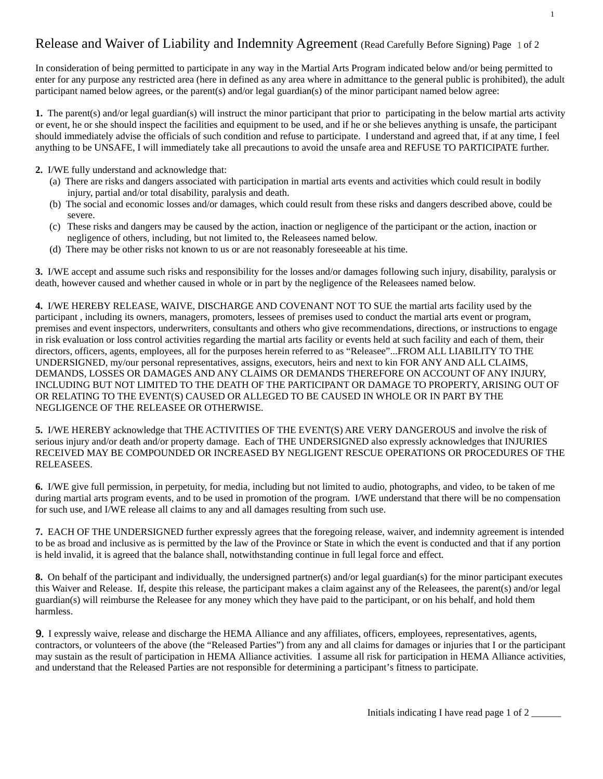## Release and Waiver of Liability and Indemnity Agreement (Read Carefully Before Signing) Page 1 of 2

In consideration of being permitted to participate in any way in the Martial Arts Program indicated below and/or being permitted to enter for any purpose any restricted area (here in defined as any area where in admittance to the general public is prohibited), the adult participant named below agrees, or the parent(s) and/or legal guardian(s) of the minor participant named below agree:

**1.** The parent(s) and/or legal guardian(s) will instruct the minor participant that prior to participating in the below martial arts activity or event, he or she should inspect the facilities and equipment to be used, and if he or she believes anything is unsafe, the participant should immediately advise the officials of such condition and refuse to participate. I understand and agreed that, if at any time, I feel anything to be UNSAFE, I will immediately take all precautions to avoid the unsafe area and REFUSE TO PARTICIPATE further.

- **2.** I/WE fully understand and acknowledge that:
	- (a) There are risks and dangers associated with participation in martial arts events and activities which could result in bodily injury, partial and/or total disability, paralysis and death.
	- (b) The social and economic losses and/or damages, which could result from these risks and dangers described above, could be severe.
	- (c) These risks and dangers may be caused by the action, inaction or negligence of the participant or the action, inaction or negligence of others, including, but not limited to, the Releasees named below.
	- (d) There may be other risks not known to us or are not reasonably foreseeable at his time.

**3.** I/WE accept and assume such risks and responsibility for the losses and/or damages following such injury, disability, paralysis or death, however caused and whether caused in whole or in part by the negligence of the Releasees named below.

**4.** I/WE HEREBY RELEASE, WAIVE, DISCHARGE AND COVENANT NOT TO SUE the martial arts facility used by the participant , including its owners, managers, promoters, lessees of premises used to conduct the martial arts event or program, premises and event inspectors, underwriters, consultants and others who give recommendations, directions, or instructions to engage in risk evaluation or loss control activities regarding the martial arts facility or events held at such facility and each of them, their directors, officers, agents, employees, all for the purposes herein referred to as "Releasee"...FROM ALL LIABILITY TO THE UNDERSIGNED, my/our personal representatives, assigns, executors, heirs and next to kin FOR ANY AND ALL CLAIMS, DEMANDS, LOSSES OR DAMAGES AND ANY CLAIMS OR DEMANDS THEREFORE ON ACCOUNT OF ANY INJURY, INCLUDING BUT NOT LIMITED TO THE DEATH OF THE PARTICIPANT OR DAMAGE TO PROPERTY, ARISING OUT OF OR RELATING TO THE EVENT(S) CAUSED OR ALLEGED TO BE CAUSED IN WHOLE OR IN PART BY THE NEGLIGENCE OF THE RELEASEE OR OTHERWISE.

**5.** I/WE HEREBY acknowledge that THE ACTIVITIES OF THE EVENT(S) ARE VERY DANGEROUS and involve the risk of serious injury and/or death and/or property damage. Each of THE UNDERSIGNED also expressly acknowledges that INJURIES RECEIVED MAY BE COMPOUNDED OR INCREASED BY NEGLIGENT RESCUE OPERATIONS OR PROCEDURES OF THE RELEASEES.

**6.** I/WE give full permission, in perpetuity, for media, including but not limited to audio, photographs, and video, to be taken of me during martial arts program events, and to be used in promotion of the program. I/WE understand that there will be no compensation for such use, and I/WE release all claims to any and all damages resulting from such use.

**7.** EACH OF THE UNDERSIGNED further expressly agrees that the foregoing release, waiver, and indemnity agreement is intended to be as broad and inclusive as is permitted by the law of the Province or State in which the event is conducted and that if any portion is held invalid, it is agreed that the balance shall, notwithstanding continue in full legal force and effect.

**8.** On behalf of the participant and individually, the undersigned partner(s) and/or legal guardian(s) for the minor participant executes this Waiver and Release. If, despite this release, the participant makes a claim against any of the Releasees, the parent(s) and/or legal guardian(s) will reimburse the Releasee for any money which they have paid to the participant, or on his behalf, and hold them harmless.

9. I expressly waive, release and discharge the HEMA Alliance and any affiliates, officers, employees, representatives, agents, contractors, or volunteers of the above (the "Released Parties") from any and all claims for damages or injuries that I or the participant may sustain as the result of participation in HEMA Alliance activities. I assume all risk for participation in HEMA Alliance activities, and understand that the Released Parties are not responsible for determining a participant's fitness to participate.